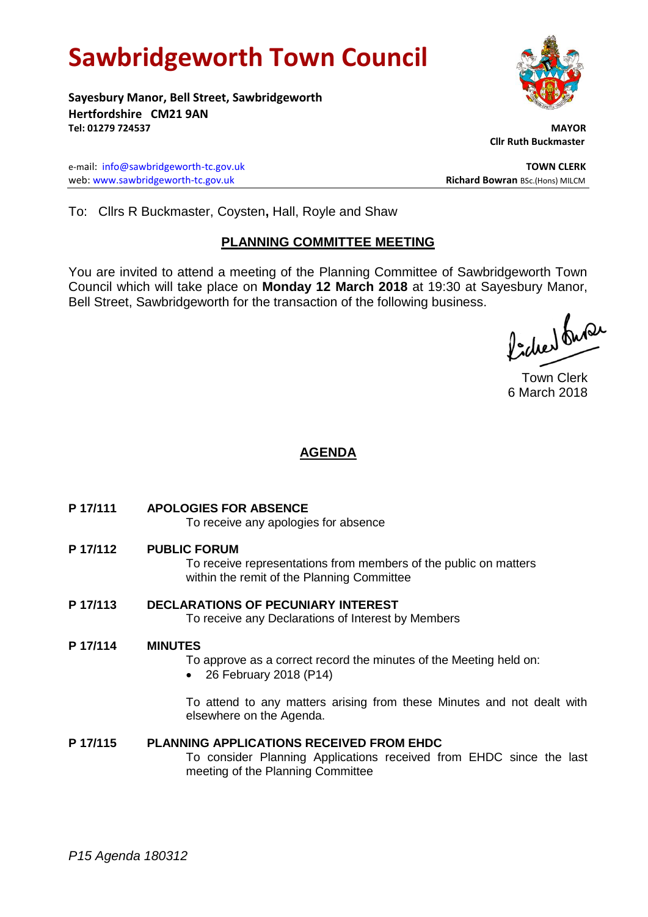# **Sawbridgeworth Town Council**

**Sayesbury Manor, Bell Street, Sawbridgeworth Hertfordshire CM21 9AN Tel: 01279 724537 MAYOR**

e-mail: [info@sawbridgeworth-tc.gov.uk](mailto:info@sawbridgeworth-tc.gov.uk) **TOWN CLERK** web: www.sawbridgeworth-tc.gov.uk **Richard Bowran** BSc.(Hons) MILCM

 **Cllr Ruth Buckmaster** 

To: Cllrs R Buckmaster, Coysten**,** Hall, Royle and Shaw

### **PLANNING COMMITTEE MEETING**

You are invited to attend a meeting of the Planning Committee of Sawbridgeworth Town Council which will take place on **Monday 12 March 2018** at 19:30 at Sayesbury Manor, Bell Street, Sawbridgeworth for the transaction of the following business.

fided fuse

Town Clerk 6 March 2018

## **AGENDA**

**P 17/111 APOLOGIES FOR ABSENCE**

To receive any apologies for absence

**P 17/112 PUBLIC FORUM**

To receive representations from members of the public on matters within the remit of the Planning Committee

**P 17/113 DECLARATIONS OF PECUNIARY INTEREST** To receive any Declarations of Interest by Members

#### **P 17/114 MINUTES**

To approve as a correct record the minutes of the Meeting held on:

26 February 2018 (P14)

To attend to any matters arising from these Minutes and not dealt with elsewhere on the Agenda.

#### **P 17/115 PLANNING APPLICATIONS RECEIVED FROM EHDC**

To consider Planning Applications received from EHDC since the last meeting of the Planning Committee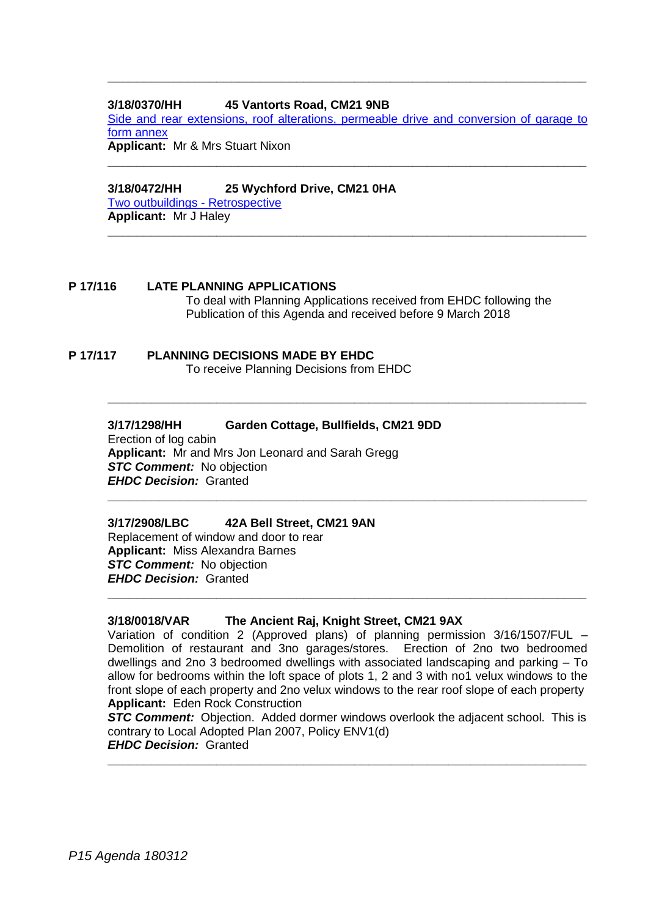#### **3/18/0370/HH 45 Vantorts Road, CM21 9NB**

[Side and rear extensions, roof alterations, permeable drive and conversion of garage to](https://publicaccess.eastherts.gov.uk/online-applications/applicationDetails.do?activeTab=documents&keyVal=P4FVM4GLKMO00)  [form annex](https://publicaccess.eastherts.gov.uk/online-applications/applicationDetails.do?activeTab=documents&keyVal=P4FVM4GLKMO00)

**\_\_\_\_\_\_\_\_\_\_\_\_\_\_\_\_\_\_\_\_\_\_\_\_\_\_\_\_\_\_\_\_\_\_\_\_\_\_\_\_\_\_\_\_\_\_\_\_\_\_\_\_\_\_\_\_\_\_\_\_\_\_\_\_\_\_**

**\_\_\_\_\_\_\_\_\_\_\_\_\_\_\_\_\_\_\_\_\_\_\_\_\_\_\_\_\_\_\_\_\_\_\_\_\_\_\_\_\_\_\_\_\_\_\_\_\_\_\_\_\_\_\_\_\_\_\_\_\_\_\_\_\_\_**

**\_\_\_\_\_\_\_\_\_\_\_\_\_\_\_\_\_\_\_\_\_\_\_\_\_\_\_\_\_\_\_\_\_\_\_\_\_\_\_\_\_\_\_\_\_\_\_\_\_\_\_\_\_\_\_\_\_\_\_\_\_\_\_\_\_\_**

**\_\_\_\_\_\_\_\_\_\_\_\_\_\_\_\_\_\_\_\_\_\_\_\_\_\_\_\_\_\_\_\_\_\_\_\_\_\_\_\_\_\_\_\_\_\_\_\_\_\_\_\_\_\_\_\_\_\_\_\_\_\_\_\_\_\_**

**Applicant:** Mr & Mrs Stuart Nixon **\_\_\_\_\_\_\_\_\_\_\_\_\_\_\_\_\_\_\_\_\_\_\_\_\_\_\_\_\_\_\_\_\_\_\_\_\_\_\_\_\_\_\_\_\_\_\_\_\_\_\_\_\_\_\_\_\_\_\_\_\_\_\_\_\_\_**

#### **3/18/0472/HH 25 Wychford Drive, CM21 0HA**

[Two outbuildings -](https://publicaccess.eastherts.gov.uk/online-applications/applicationDetails.do?activeTab=documents&keyVal=P4Z1SYGL00700) Retrospective **Applicant:** Mr J Haley

#### **P 17/116 LATE PLANNING APPLICATIONS**

To deal with Planning Applications received from EHDC following the Publication of this Agenda and received before 9 March 2018

#### **P 17/117 PLANNING DECISIONS MADE BY EHDC**

To receive Planning Decisions from EHDC

#### **3/17/1298/HH Garden Cottage, Bullfields, CM21 9DD**

Erection of log cabin **Applicant:** Mr and Mrs Jon Leonard and Sarah Gregg *STC Comment:* No objection *EHDC Decision:* Granted

#### **3/17/2908/LBC 42A Bell Street, CM21 9AN**

Replacement of window and door to rear **Applicant:** Miss Alexandra Barnes **STC Comment:** No objection *EHDC Decision:* Granted

**3/18/0018/VAR The Ancient Raj, Knight Street, CM21 9AX**

Variation of condition 2 (Approved plans) of planning permission 3/16/1507/FUL – Demolition of restaurant and 3no garages/stores. Erection of 2no two bedroomed dwellings and 2no 3 bedroomed dwellings with associated landscaping and parking – To allow for bedrooms within the loft space of plots 1, 2 and 3 with no1 velux windows to the front slope of each property and 2no velux windows to the rear roof slope of each property **Applicant:** Eden Rock Construction

**\_\_\_\_\_\_\_\_\_\_\_\_\_\_\_\_\_\_\_\_\_\_\_\_\_\_\_\_\_\_\_\_\_\_\_\_\_\_\_\_\_\_\_\_\_\_\_\_\_\_\_\_\_\_\_\_\_\_\_\_\_\_\_\_\_\_**

**STC Comment:** Objection. Added dormer windows overlook the adjacent school. This is contrary to Local Adopted Plan 2007, Policy ENV1(d) *EHDC Decision:* Granted

**\_\_\_\_\_\_\_\_\_\_\_\_\_\_\_\_\_\_\_\_\_\_\_\_\_\_\_\_\_\_\_\_\_\_\_\_\_\_\_\_\_\_\_\_\_\_\_\_\_\_\_\_\_\_\_\_\_\_\_\_\_\_\_\_\_\_**